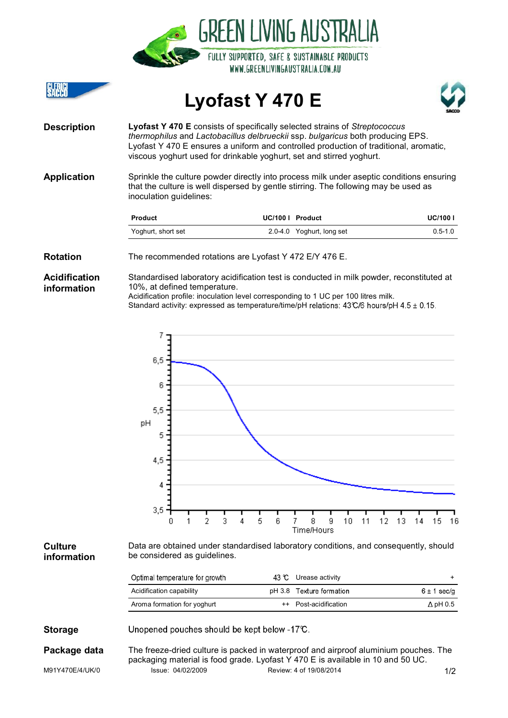|                                     |                                                                                                                                                                                                                                                                                                                               | GKEEN LIVING AUSTKALIA<br>FULLY SUPPORTED, SAFE & SUSTAINABLE PRODUCTS<br>WWW.GREENLIVINGAUSTRALIA.COM.AU |                 |  |  |  |
|-------------------------------------|-------------------------------------------------------------------------------------------------------------------------------------------------------------------------------------------------------------------------------------------------------------------------------------------------------------------------------|-----------------------------------------------------------------------------------------------------------|-----------------|--|--|--|
| CLERICI<br>Sacco                    |                                                                                                                                                                                                                                                                                                                               | Lyofast Y 470 E                                                                                           |                 |  |  |  |
| <b>Description</b>                  | Lyofast Y 470 E consists of specifically selected strains of Streptococcus<br>thermophilus and Lactobacillus delbrueckii ssp. bulgaricus both producing EPS.<br>Lyofast Y 470 E ensures a uniform and controlled production of traditional, aromatic,<br>viscous yoghurt used for drinkable yoghurt, set and stirred yoghurt. |                                                                                                           |                 |  |  |  |
| <b>Application</b>                  | Sprinkle the culture powder directly into process milk under aseptic conditions ensuring<br>that the culture is well dispersed by gentle stirring. The following may be used as<br>inoculation guidelines:                                                                                                                    |                                                                                                           |                 |  |  |  |
|                                     | <b>Product</b>                                                                                                                                                                                                                                                                                                                | UC/100   Product                                                                                          | <b>UC/100 I</b> |  |  |  |
|                                     | Yoghurt, short set                                                                                                                                                                                                                                                                                                            | 2.0-4.0 Yoghurt, long set                                                                                 | $0.5 - 1.0$     |  |  |  |
| <b>Rotation</b>                     |                                                                                                                                                                                                                                                                                                                               | The recommended rotations are Lyofast Y 472 E/Y 476 E.                                                    |                 |  |  |  |
| <b>Acidification</b><br>information | Standardised laboratory acidification test is conducted in milk powder, reconstituted at<br>10%, at defined temperature.<br>Acidification profile: inoculation level corresponding to 1 UC per 100 litres milk.                                                                                                               |                                                                                                           |                 |  |  |  |

 $\mathbf{a}$  and  $\mathbf{a}$ 

 $\overline{a}$   $\overline{a}$   $\overline{a}$ 

Standard activity: expressed as temperature/time/pH relations: 43°C/6 hours/pH 4.5 ± 0.15.

 $\overline{7}$  $6,5$ 6  $5,5$ pH 5  $4,5$ 4  $3,5$  $\overline{0}$ 8  $10$ 11 12 13 15  $\mathbf{1}$  $\overline{2}$ 3 4 5 6  $\overline{7}$ 9 14 16 Time/Hours **Culture** Data are obtained under standardised laboratory conditions, and consequently, should be considered as guidelines. **information** Optimal temperature for growth  $\overline{129}$   $\overline{92}$  +  $\overline{11}$   $\overline{12}$   $\overline{20}$   $\overline{20}$   $\overline{20}$   $\overline{20}$   $\overline{20}$   $\overline{20}$   $\overline{20}$   $\overline{20}$   $\overline{20}$   $\overline{20}$   $\overline{20}$   $\overline{20}$   $\overline{20}$   $\overline{20}$   $\overline{20}$   $\overline{20}$   $\overline{20}$   $\overline{20}$ 

| Optimal temperature for growth | 45 C Urease activity     |                 |
|--------------------------------|--------------------------|-----------------|
| Acidification capability       | pH 3.8 Texture formation | 6 ± 1 sec/g     |
| Aroma formation for yoghurt    | ++ Post-acidification    | $\Delta$ pH 0.5 |
|                                |                          |                 |

**Storage** Unopened pouches should be kept below -17°C.

M91Y470E/4/UK/0 Issue: 04/02/2009 Review: 4 of 19/08/2014 Issue: 1/2 **Package data** The freeze-dried culture is packed in waterproof and airproof aluminium pouches. The packaging material is food grade. Lyofast Y 470 E is available in 10 and 50 UC.